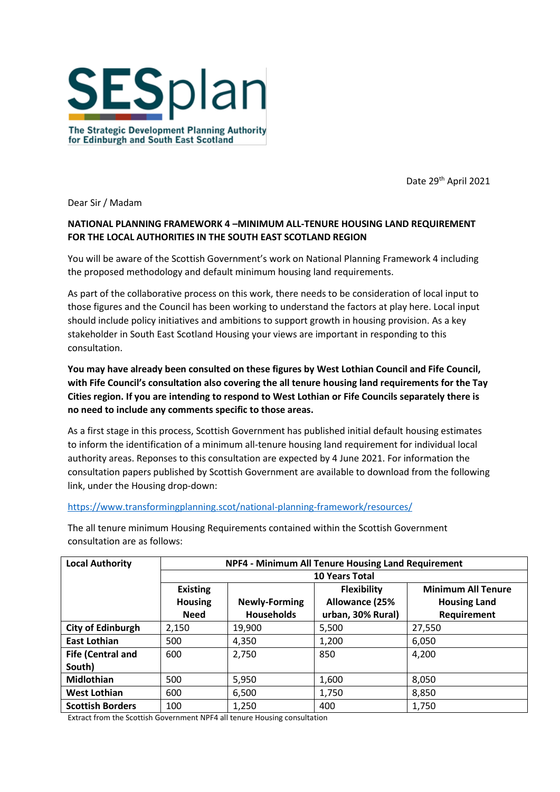

The Strategic Development Planning Authority for Edinburgh and South East Scotland

Date 29<sup>th</sup> April 2021

Dear Sir / Madam

## **NATIONAL PLANNING FRAMEWORK 4 –MINIMUM ALL-TENURE HOUSING LAND REQUIREMENT FOR THE LOCAL AUTHORITIES IN THE SOUTH EAST SCOTLAND REGION**

You will be aware of the Scottish Government's work on National Planning Framework 4 including the proposed methodology and default minimum housing land requirements.

As part of the collaborative process on this work, there needs to be consideration of local input to those figures and the Council has been working to understand the factors at play here. Local input should include policy initiatives and ambitions to support growth in housing provision. As a key stakeholder in South East Scotland Housing your views are important in responding to this consultation.

**You may have already been consulted on these figures by West Lothian Council and Fife Council, with Fife Council's consultation also covering the all tenure housing land requirements for the Tay Cities region. If you are intending to respond to West Lothian or Fife Councils separately there is no need to include any comments specific to those areas.** 

As a first stage in this process, Scottish Government has published initial default housing estimates to inform the identification of a minimum all-tenure housing land requirement for individual local authority areas. Reponses to this consultation are expected by 4 June 2021. For information the consultation papers published by Scottish Government are available to download from the following link, under the Housing drop-down:

## <https://www.transformingplanning.scot/national-planning-framework/resources/>

The all tenure minimum Housing Requirements contained within the Scottish Government consultation are as follows:

| <b>Local Authority</b>   | NPF4 - Minimum All Tenure Housing Land Requirement<br><b>10 Years Total</b> |                      |                    |                           |
|--------------------------|-----------------------------------------------------------------------------|----------------------|--------------------|---------------------------|
|                          |                                                                             |                      |                    |                           |
|                          | <b>Existing</b>                                                             |                      | <b>Flexibility</b> | <b>Minimum All Tenure</b> |
|                          | <b>Housing</b>                                                              | <b>Newly-Forming</b> | Allowance (25%     | <b>Housing Land</b>       |
|                          | <b>Need</b>                                                                 | <b>Households</b>    | urban, 30% Rural)  | Requirement               |
| <b>City of Edinburgh</b> | 2,150                                                                       | 19,900               | 5,500              | 27,550                    |
| <b>East Lothian</b>      | 500                                                                         | 4,350                | 1,200              | 6,050                     |
| <b>Fife (Central and</b> | 600                                                                         | 2,750                | 850                | 4,200                     |
| South)                   |                                                                             |                      |                    |                           |
| <b>Midlothian</b>        | 500                                                                         | 5,950                | 1,600              | 8,050                     |
| <b>West Lothian</b>      | 600                                                                         | 6,500                | 1,750              | 8,850                     |
| <b>Scottish Borders</b>  | 100                                                                         | 1,250                | 400                | 1,750                     |

Extract from the Scottish Government NPF4 all tenure Housing consultation